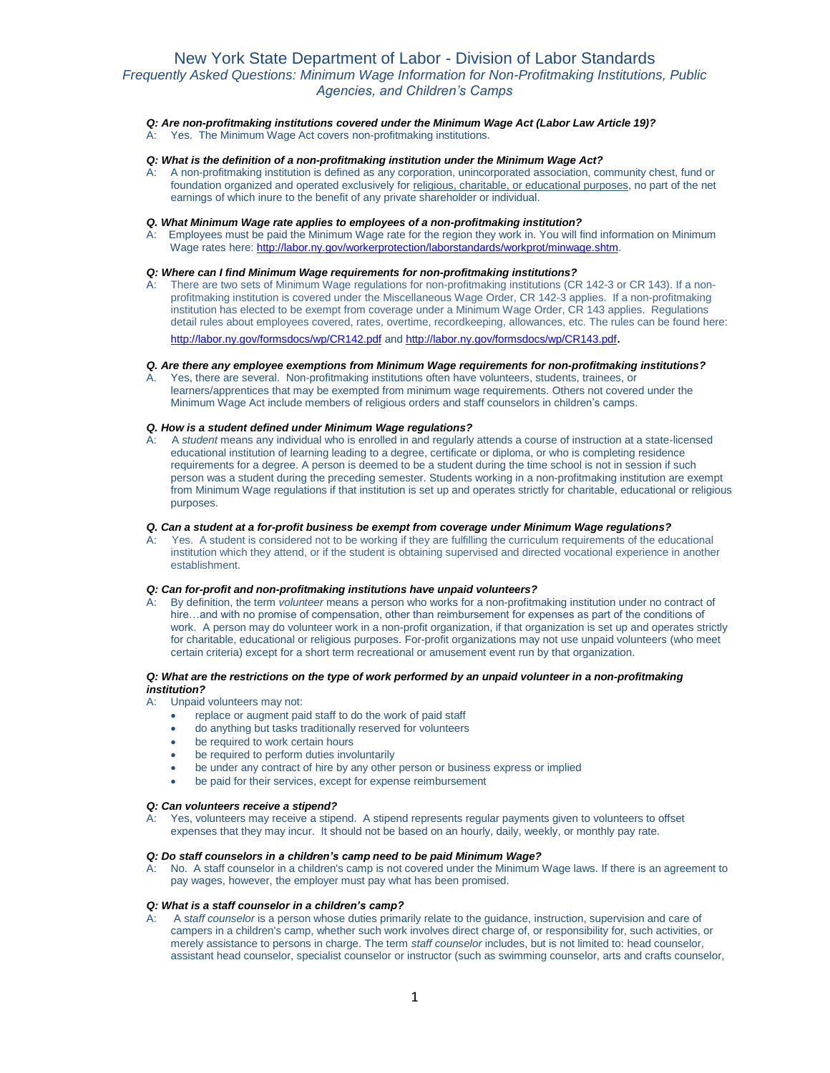# New York State Department of Labor - Division of Labor Standards *Frequently Asked Questions: Minimum Wage Information for Non-Profitmaking Institutions, Public Agencies, and Children's Camps*

## *Q: Are non-profitmaking institutions covered under the Minimum Wage Act (Labor Law Article 19)?*

A: Yes. The Minimum Wage Act covers non-profitmaking institutions.

### *Q: What is the definition of a non-profitmaking institution under the Minimum Wage Act?*

A: A non-profitmaking institution is defined as any corporation, unincorporated association, community chest, fund or foundation organized and operated exclusively for religious, charitable, or educational purposes, no part of the net earnings of which inure to the benefit of any private shareholder or individual.

### *Q. What Minimum Wage rate applies to employees of a non-profitmaking institution?*

A: Employees must be paid the Minimum Wage rate for the region they work in. You will find information on Minimum Wage rates here[: http://labor.ny.gov/workerprotection/laborstandards/workprot/minwage.shtm.](http://labor.ny.gov/workerprotection/laborstandards/workprot/minwage.shtm)

## *Q: Where can I find Minimum Wage requirements for non-profitmaking institutions?*

A: There are two sets of Minimum Wage regulations for non-profitmaking institutions (CR 142-3 or CR 143). If a nonprofitmaking institution is covered under the Miscellaneous Wage Order, CR 142-3 applies. If a non-profitmaking institution has elected to be exempt from coverage under a Minimum Wage Order, CR 143 applies. Regulations detail rules about employees covered, rates, overtime, recordkeeping, allowances, etc. The rules can be found here: <http://labor.ny.gov/formsdocs/wp/CR142.pdf> an[d http://labor.ny.gov/formsdocs/wp/CR143.pdf](http://labor.ny.gov/formsdocs/wp/CR143.pdf).

## *Q. Are there any employee exemptions from Minimum Wage requirements for non-profitmaking institutions?*

Yes, there are several. Non-profitmaking institutions often have volunteers, students, trainees, or learners/apprentices that may be exempted from minimum wage requirements. Others not covered under the Minimum Wage Act include members of religious orders and staff counselors in children's camps.

### *Q. How is a student defined under Minimum Wage regulations?*

A: A *student* means any individual who is enrolled in and regularly attends a course of instruction at a state-licensed educational institution of learning leading to a degree, certificate or diploma, or who is completing residence requirements for a degree. A person is deemed to be a student during the time school is not in session if such person was a student during the preceding semester. Students working in a non-profitmaking institution are exempt from Minimum Wage regulations if that institution is set up and operates strictly for charitable, educational or religious purposes.

## *Q. Can a student at a for-profit business be exempt from coverage under Minimum Wage regulations?*

Yes. A student is considered not to be working if they are fulfilling the curriculum requirements of the educational institution which they attend, or if the student is obtaining supervised and directed vocational experience in another establishment.

## *Q: Can for-profit and non-profitmaking institutions have unpaid volunteers?*

A: By definition, the term *volunteer* means a person who works for a non-profitmaking institution under no contract of hire…and with no promise of compensation, other than reimbursement for expenses as part of the conditions of work. A person may do volunteer work in a non-profit organization, if that organization is set up and operates strictly for charitable, educational or religious purposes. For-profit organizations may not use unpaid volunteers (who meet certain criteria) except for a short term recreational or amusement event run by that organization.

### *Q: What are the restrictions on the type of work performed by an unpaid volunteer in a non-profitmaking institution?*

- A: Unpaid volunteers may not:
	- replace or augment paid staff to do the work of paid staff
	- do anything but tasks traditionally reserved for volunteers
	- be required to work certain hours
	- be required to perform duties involuntarily
	- be under any contract of hire by any other person or business express or implied
	- be paid for their services, except for expense reimbursement

## *Q: Can volunteers receive a stipend?*

A: Yes, volunteers may receive a stipend. A stipend represents regular payments given to volunteers to offset expenses that they may incur. It should not be based on an hourly, daily, weekly, or monthly pay rate.

## *Q: Do staff counselors in a children's camp need to be paid Minimum Wage?*

A: No. A staff counselor in a children's camp is not covered under the Minimum Wage laws. If there is an agreement to pay wages, however, the employer must pay what has been promised.

### *Q: What is a staff counselor in a children's camp?*

A: A s*taff counselor* is a person whose duties primarily relate to the guidance, instruction, supervision and care of campers in a children's camp, whether such work involves direct charge of, or responsibility for, such activities, or merely assistance to persons in charge. The term *staff counselor* includes, but is not limited to: head counselor, assistant head counselor, specialist counselor or instructor (such as swimming counselor, arts and crafts counselor,